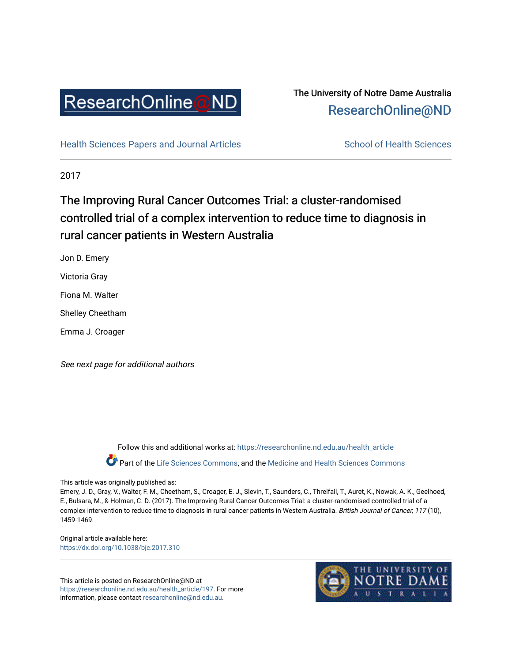

## The University of Notre Dame Australia [ResearchOnline@ND](https://researchonline.nd.edu.au/)

[Health Sciences Papers and Journal Articles](https://researchonline.nd.edu.au/health_article) School of Health Sciences

2017

# The Improving Rural Cancer Outcomes Trial: a cluster-randomised controlled trial of a complex intervention to reduce time to diagnosis in rural cancer patients in Western Australia

Jon D. Emery Victoria Gray Fiona M. Walter Shelley Cheetham

Emma J. Croager

See next page for additional authors

Follow this and additional works at: [https://researchonline.nd.edu.au/health\\_article](https://researchonline.nd.edu.au/health_article?utm_source=researchonline.nd.edu.au%2Fhealth_article%2F197&utm_medium=PDF&utm_campaign=PDFCoverPages) Part of the [Life Sciences Commons](http://network.bepress.com/hgg/discipline/1016?utm_source=researchonline.nd.edu.au%2Fhealth_article%2F197&utm_medium=PDF&utm_campaign=PDFCoverPages), and the [Medicine and Health Sciences Commons](http://network.bepress.com/hgg/discipline/648?utm_source=researchonline.nd.edu.au%2Fhealth_article%2F197&utm_medium=PDF&utm_campaign=PDFCoverPages) 

This article was originally published as:

Emery, J. D., Gray, V., Walter, F. M., Cheetham, S., Croager, E. J., Slevin, T., Saunders, C., Threlfall, T., Auret, K., Nowak, A. K., Geelhoed, E., Bulsara, M., & Holman, C. D. (2017). The Improving Rural Cancer Outcomes Trial: a cluster-randomised controlled trial of a complex intervention to reduce time to diagnosis in rural cancer patients in Western Australia. British Journal of Cancer, 117 (10), 1459-1469.

Original article available here: <https://dx.doi.org/10.1038/bjc.2017.310>

This article is posted on ResearchOnline@ND at [https://researchonline.nd.edu.au/health\\_article/197](https://researchonline.nd.edu.au/health_article/197). For more information, please contact [researchonline@nd.edu.au.](mailto:researchonline@nd.edu.au)

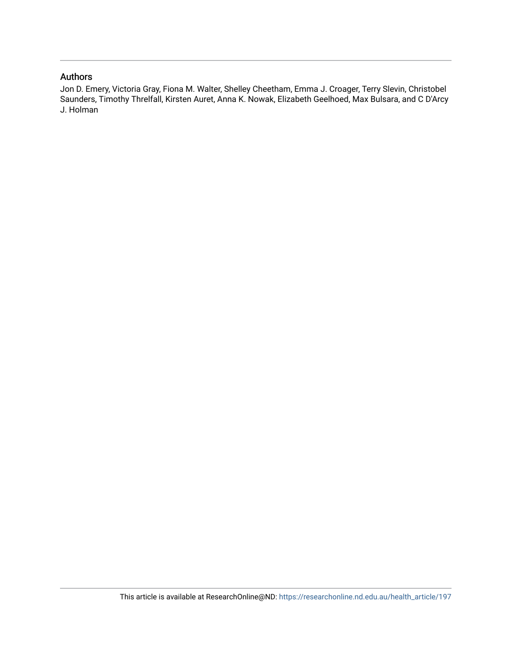## Authors

Jon D. Emery, Victoria Gray, Fiona M. Walter, Shelley Cheetham, Emma J. Croager, Terry Slevin, Christobel Saunders, Timothy Threlfall, Kirsten Auret, Anna K. Nowak, Elizabeth Geelhoed, Max Bulsara, and C D'Arcy J. Holman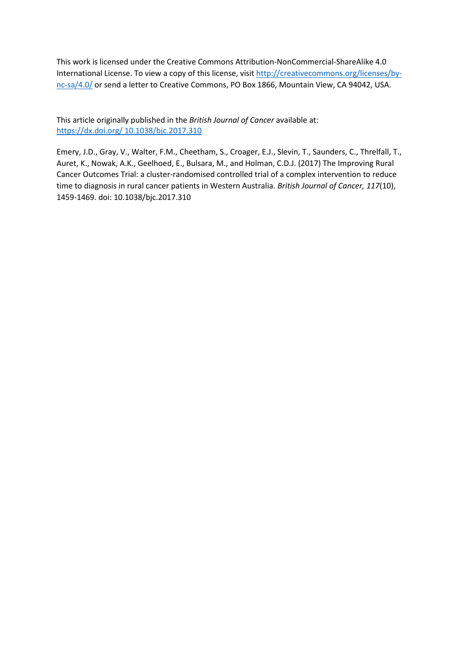This work is licensed under the Creative Commons Attribution-NonCommercial-ShareAlike 4.0 International License. To view a copy of this license, visit [http://creativecommons.org/licenses/by](http://creativecommons.org/licenses/by-nc-sa/4.0/)[nc-sa/4.0/](http://creativecommons.org/licenses/by-nc-sa/4.0/) or send a letter to Creative Commons, PO Box 1866, Mountain View, CA 94042, USA.

This article originally published in the *British Journal of Cancer* available at: https://dx.doi.org/ [10.1038/bjc.2017.310](https://dx.doi.org/%2010.1038/bjc.2017.310)

Emery, J.D., Gray, V., Walter, F.M., Cheetham, S., Croager, E.J., Slevin, T., Saunders, C., Threlfall, T., Auret, K., Nowak, A.K., Geelhoed, E., Bulsara, M., and Holman, C.D.J. (2017) The Improving Rural Cancer Outcomes Trial: a cluster-randomised controlled trial of a complex intervention to reduce time to diagnosis in rural cancer patients in Western Australia. *British Journal of Cancer, 117*(10), 1459-1469. doi: 10.1038/bjc.2017.310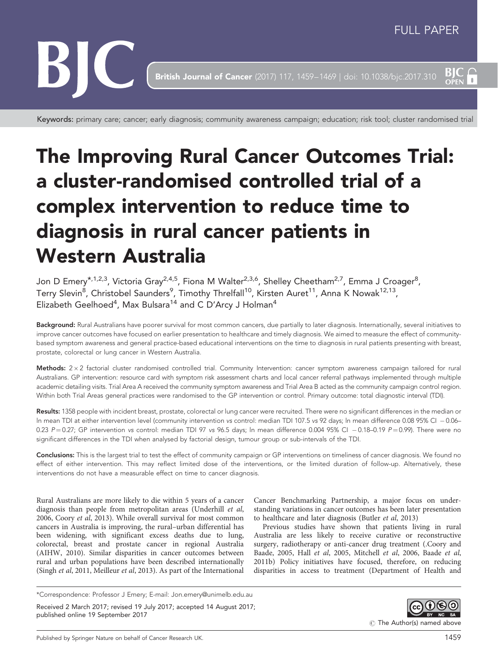

Keywords: primary care; cancer; early diagnosis; community awareness campaign; education; risk tool; cluster randomised trial

# The Improving Rural Cancer Outcomes Trial: a cluster-randomised controlled trial of a complex intervention to reduce time to diagnosis in rural cancer patients in Western Australia

Jon D Emery<sup>\*,1,2,3</sup>, Victoria Gray<sup>2,4,5</sup>, Fiona M Walter<sup>2,3,6</sup>, Shelley Cheetham<sup>2,7</sup>, Emma J Croager<sup>8</sup>, Terry Slevin<sup>8</sup>, Christobel Saunders<sup>9</sup>, Timothy Threlfall<sup>10</sup>, Kirsten Auret<sup>11</sup>, Anna K Nowak<sup>12,13</sup>, Elizabeth Geelhoed<sup>4</sup>, Max Bulsara<sup>14</sup> and C D'Arcy J Holman<sup>4</sup>

Background: Rural Australians have poorer survival for most common cancers, due partially to later diagnosis. Internationally, several initiatives to improve cancer outcomes have focused on earlier presentation to healthcare and timely diagnosis. We aimed to measure the effect of communitybased symptom awareness and general practice-based educational interventions on the time to diagnosis in rural patients presenting with breast, prostate, colorectal or lung cancer in Western Australia.

**Methods:** 2×2 factorial cluster randomised controlled trial. Community Intervention: cancer symptom awareness campaign tailored for rural Australians. GP intervention: resource card with symptom risk assessment charts and local cancer referral pathways implemented through multiple academic detailing visits. Trial Area A received the community symptom awareness and Trial Area B acted as the community campaign control region. Within both Trial Areas general practices were randomised to the GP intervention or control. Primary outcome: total diagnostic interval (TDI).

Results: 1358 people with incident breast, prostate, colorectal or lung cancer were recruited. There were no significant differences in the median or ln mean TDI at either intervention level (community intervention vs control: median TDI 107.5 vs 92 days; In mean difference 0.08 95% CI - 0.06-0.23 P = 0.27; GP intervention vs control: median TDI 97 vs 96.5 days; In mean difference 0.004 95% CI - 0.18-0.19 P = 0.99). There were no significant differences in the TDI when analysed by factorial design, tumour group or sub-intervals of the TDI.

Conclusions: This is the largest trial to test the effect of community campaign or GP interventions on timeliness of cancer diagnosis. We found no effect of either intervention. This may reflect limited dose of the interventions, or the limited duration of follow-up. Alternatively, these interventions do not have a measurable effect on time to cancer diagnosis.

Rural Australians are more likely to die within 5 years of a cancer diagnosis than people from metropolitan areas [\(Underhill](#page-13-0) et al, [2006](#page-13-0), [Coory](#page-12-0) et al, 2013). While overall survival for most common cancers in Australia is improving, the rural–urban differential has been widening, with significant excess deaths due to lung, colorectal, breast and prostate cancer in regional Australia ([AIHW, 2010\)](#page-11-0). Similar disparities in cancer outcomes between rural and urban populations have been described internationally (Singh et al[, 2011, Meilleur](#page-12-0) et al, 2013). As part of the International

Cancer Benchmarking Partnership, a major focus on understanding variations in cancer outcomes has been later presentation to healthcare and later diagnosis [\(Butler](#page-12-0) et al, 2013)

Previous studies have shown that patients living in rural Australia are less likely to receive curative or reconstructive surgery, radiotherapy or anti-cancer drug treatment [\(.Coory and](#page-12-0) [Baade, 2005,](#page-12-0) Hall et al[, 2005](#page-12-0), [Mitchell](#page-12-0) et al, 2006, [Baade](#page-12-0) et al, [2011b\)](#page-12-0) Policy initiatives have focused, therefore, on reducing disparities in access to treatment ([Department of Health and](#page-12-0)

\*Correspondence: Professor J Emery; E-mail: [Jon.emery@unimelb.edu.au](mailto:Jon.emery@unimelb.edu.au)

Received 2 March 2017; revised 19 July 2017; accepted 14 August 2017; published online 19 September 2017



 $\odot$  The Author(s) named above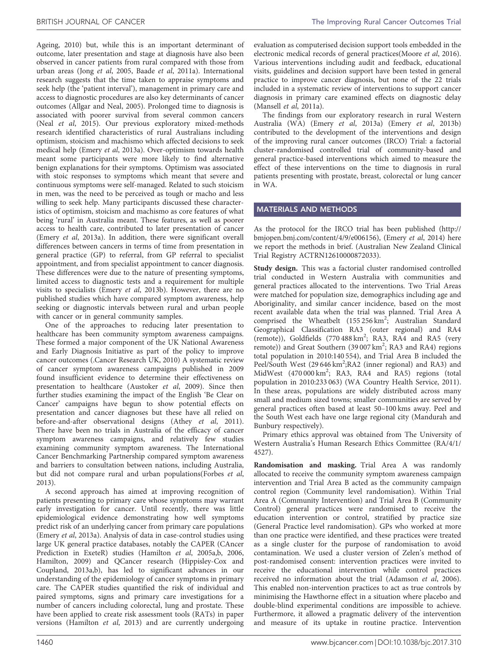[Ageing, 2010\)](#page-12-0) but, while this is an important determinant of outcome, later presentation and stage at diagnosis have also been observed in cancer patients from rural compared with those from urban areas (Jong et al[, 2005,](#page-12-0) Baade et al[, 2011a](#page-12-0)). International research suggests that the time taken to appraise symptoms and seek help (the 'patient interval'), management in primary care and access to diagnostic procedures are also key determinants of cancer outcomes [\(Allgar and Neal, 2005](#page-11-0)). Prolonged time to diagnosis is associated with poorer survival from several common cancers (Neal et al[, 2015\)](#page-12-0). Our previous exploratory mixed-methods research identified characteristics of rural Australians including optimism, stoicism and machismo which affected decisions to seek medical help (Emery et al[, 2013a\)](#page-12-0). Over-optimism towards health meant some participants were more likely to find alternative benign explanations for their symptoms. Optimism was associated with stoic responses to symptoms which meant that severe and continuous symptoms were self-managed. Related to such stoicism in men, was the need to be perceived as tough or macho and less willing to seek help. Many participants discussed these characteristics of optimism, stoicism and machismo as core features of what being 'rural' in Australia meant. These features, as well as poorer access to health care, contributed to later presentation of cancer (Emery et al[, 2013a\)](#page-12-0). In addition, there were significant overall differences between cancers in terms of time from presentation in general practice (GP) to referral, from GP referral to specialist appointment, and from specialist appointment to cancer diagnosis. These differences were due to the nature of presenting symptoms, limited access to diagnostic tests and a requirement for multiple visits to specialists (Emery et al[, 2013b](#page-12-0)). However, there are no published studies which have compared symptom awareness, help seeking or diagnostic intervals between rural and urban people with cancer or in general community samples.

One of the approaches to reducing later presentation to healthcare has been community symptom awareness campaigns. These formed a major component of the UK National Awareness and Early Diagnosis Initiative as part of the policy to improve cancer outcomes [\(.Cancer Research UK, 2010](#page-12-0)) A systematic review of cancer symptom awareness campaigns published in 2009 found insufficient evidence to determine their effectiveness on presentation to healthcare [\(Austoker](#page-12-0) et al, 2009). Since then further studies examining the impact of the English 'Be Clear on Cancer' campaigns have begun to show potential effects on presentation and cancer diagnoses but these have all relied on before-and-after observational designs (Athey et al[, 2011](#page-11-0)). There have been no trials in Australia of the efficacy of cancer symptom awareness campaigns, and relatively few studies examining community symptom awareness. The International Cancer Benchmarking Partnership compared symptom awareness and barriers to consultation between nations, including Australia, but did not compare rural and urban populations[\(Forbes](#page-12-0) et al, [2013](#page-12-0)).

A second approach has aimed at improving recognition of patients presenting to primary care whose symptoms may warrant early investigation for cancer. Until recently, there was little epidemiological evidence demonstrating how well symptoms predict risk of an underlying cancer from primary care populations (Emery et al[, 2013a\)](#page-12-0). Analysis of data in case-control studies using large UK general practice databases, notably the CAPER (CAncer Prediction in ExeteR) studies (Hamilton et al[, 2005a,b, 2006,](#page-12-0) [Hamilton, 2009\)](#page-12-0) and QCancer research [\(Hippisley-Cox and](#page-12-0) [Coupland, 2013a,b](#page-12-0)), has led to significant advances in our understanding of the epidemiology of cancer symptoms in primary care. The CAPER studies quantified the risk of individual and paired symptoms, signs and primary care investigations for a number of cancers including colorectal, lung and prostate. These have been applied to create risk assessment tools (RATs) in paper versions [\(Hamilton](#page-12-0) et al, 2013) and are currently undergoing

evaluation as computerised decision support tools embedded in the electronic medical records of general practices[\(Moore](#page-12-0) et al, 2016). Various interventions including audit and feedback, educational visits, guidelines and decision support have been tested in general practice to improve cancer diagnosis, but none of the 22 trials included in a systematic review of interventions to support cancer diagnosis in primary care examined effects on diagnostic delay ([Mansell](#page-12-0) et al, 2011a).

The findings from our exploratory research in rural Western Australia (WA) (Emery et al[, 2013a\)](#page-12-0) (Emery et al[, 2013b\)](#page-12-0) contributed to the development of the interventions and design of the improving rural cancer outcomes (IRCO) Trial: a factorial cluster-randomised controlled trial of community-based and general practice-based interventions which aimed to measure the effect of these interventions on the time to diagnosis in rural patients presenting with prostate, breast, colorectal or lung cancer in WA.

#### MATERIALS AND METHODS

As the protocol for the IRCO trial has been published [\(http://](http://bmjopen.bmj.com/content/4/9/e006156) [bmjopen.bmj.com/content/4/9/e006156](http://bmjopen.bmj.com/content/4/9/e006156)), [\(Emery](#page-12-0) et al, 2014) here we report the methods in brief. (Australian New Zealand Clinical Trial Registry ACTRN12610000872033).

Study design. This was a factorial cluster randomised controlled trial conducted in Western Australia with communities and general practices allocated to the interventions. Two Trial Areas were matched for population size, demographics including age and Aboriginality, and similar cancer incidence, based on the most recent available data when the trial was planned. Trial Area A comprised the Wheatbelt  $(155\,256\,\text{km}^2)$ ; Australian Standard Geographical Classification RA3 (outer regional) and RA4 (remote)), Goldfields (770 488 km<sup>2</sup>; RA3, RA4 and RA5 (very remote)) and Great Southern (39 007 km<sup>2</sup>; RA3 and RA4) regions total population in 2010:140 554), and Trial Area B included the Peel/South West (29 646 km<sup>2</sup>; RA2 (inner regional) and RA3) and MidWest (470 000 km<sup>2</sup>; RA3, RA4 and RA5) regions (total population in 2010:233 063) ([WA Country Health Service, 2011](#page-13-0)). In these areas, populations are widely distributed across many small and medium sized towns; smaller communities are served by general practices often based at least 50–100 kms away. Peel and the South West each have one large regional city (Mandurah and Bunbury respectively).

Primary ethics approval was obtained from The University of Western Australia's Human Research Ethics Committee (RA/4/1/ 4527).

Randomisation and masking. Trial Area A was randomly allocated to receive the community symptom awareness campaign intervention and Trial Area B acted as the community campaign control region (Community level randomisation). Within Trial Area A (Community Intervention) and Trial Area B (Community Control) general practices were randomised to receive the education intervention or control, stratified by practice size (General Practice level randomisation). GPs who worked at more than one practice were identified, and these practices were treated as a single cluster for the purpose of randomisation to avoid contamination. We used a cluster version of Zelen's method of post-randomised consent: intervention practices were invited to receive the educational intervention while control practices received no information about the trial ([Adamson](#page-11-0) et al, 2006). This enabled non-intervention practices to act as true controls by minimising the Hawthorne effect in a situation where placebo and double-blind experimental conditions are impossible to achieve. Furthermore, it allowed a pragmatic delivery of the intervention and measure of its uptake in routine practice. Intervention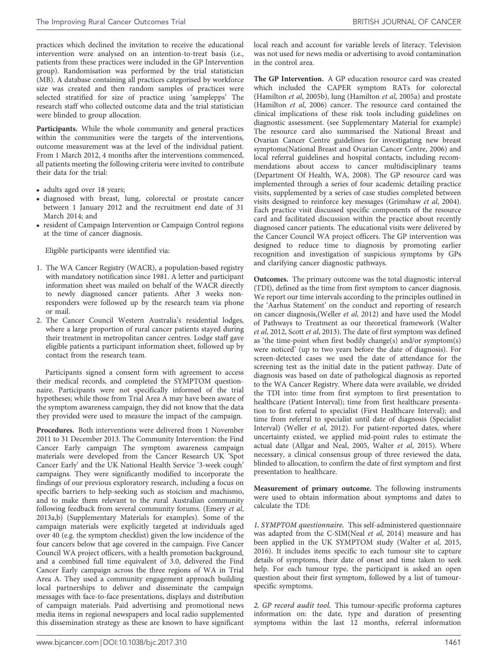practices which declined the invitation to receive the educational intervention were analysed on an intention-to-treat basis (i.e., patients from these practices were included in the GP Intervention group). Randomisation was performed by the trial statistician (MB). A database containing all practices categorised by workforce size was created and then random samples of practices were selected stratified for size of practice using 'samplepps' The research staff who collected outcome data and the trial statistician were blinded to group allocation.

Participants. While the whole community and general practices within the communities were the targets of the interventions, outcome measurement was at the level of the individual patient. From 1 March 2012, 4 months after the interventions commenced, all patients meeting the following criteria were invited to contribute their data for the trial:

- adults aged over 18 years;
- diagnosed with breast, lung, colorectal or prostate cancer between 1 January 2012 and the recruitment end date of 31 March 2014; and
- resident of Campaign Intervention or Campaign Control regions at the time of cancer diagnosis.

Eligible participants were identified via:

- 1. The WA Cancer Registry (WACR), a population-based registry with mandatory notification since 1981. A letter and participant information sheet was mailed on behalf of the WACR directly to newly diagnosed cancer patients. After 3 weeks nonresponders were followed up by the research team via phone or mail.
- 2. The Cancer Council Western Australia's residential lodges, where a large proportion of rural cancer patients stayed during their treatment in metropolitan cancer centres. Lodge staff gave eligible patients a participant information sheet, followed up by contact from the research team.

Participants signed a consent form with agreement to access their medical records, and completed the SYMPTOM questionnaire. Participants were not specifically informed of the trial hypotheses; while those from Trial Area A may have been aware of the symptom awareness campaign, they did not know that the data they provided were used to measure the impact of the campaign.

Procedures. Both interventions were delivered from 1 November 2011 to 31 December 2013. The Community Intervention: the Find Cancer Early campaign The symptom awareness campaign materials were developed from the Cancer Research UK 'Spot Cancer Early' and the UK National Health Service '3-week cough' campaigns. They were significantly modified to incorporate the findings of our previous exploratory research, including a focus on specific barriers to help-seeking such as stoicism and machismo, and to make them relevant to the rural Australian community following feedback from several community forums. [\(Emery](#page-12-0) et al, [2013a,b](#page-12-0)) (Supplementary Materials for examples). Some of the campaign materials were explicitly targeted at individuals aged over 40 (e.g. the symptom checklist) given the low incidence of the four cancers below that age covered in the campaign. Five Cancer Council WA project officers, with a health promotion background, and a combined full time equivalent of 3.0, delivered the Find Cancer Early campaign across the three regions of WA in Trial Area A. They used a community engagement approach building local partnerships to deliver and disseminate the campaign messages with face-to-face presentations, displays and distribution of campaign materials. Paid advertising and promotional news media items in regional newspapers and local radio supplemented this dissemination strategy as these are known to have significant

local reach and account for variable levels of literacy. Television was not used for news media or advertising to avoid contamination in the control area.

The GP Intervention. A GP education resource card was created which included the CAPER symptom RATs for colorectal ([Hamilton](#page-12-0) et al, 2005b), lung ([Hamilton](#page-12-0) et al, 2005a) and prostate ([Hamilton](#page-12-0) et al, 2006) cancer. The resource card contained the clinical implications of these risk tools including guidelines on diagnostic assessment. (see Supplementary Material for example) The resource card also summarised the National Breast and Ovarian Cancer Centre guidelines for investigating new breast symptoms[\(National Breast and Ovarian Cancer Centre, 2006\)](#page-12-0) and local referral guidelines and hospital contacts, including recommendations about access to cancer multidisciplinary teams ([Department Of Health, WA, 2008](#page-12-0)). The GP resource card was implemented through a series of four academic detailing practice visits, supplemented by a series of case studies completed between visits designed to reinforce key messages ([Grimshaw](#page-12-0) et al, 2004). Each practice visit discussed specific components of the resource card and facilitated discussion within the practice about recently diagnosed cancer patients. The educational visits were delivered by the Cancer Council WA project officers. The GP intervention was designed to reduce time to diagnosis by promoting earlier recognition and investigation of suspicious symptoms by GPs and clarifying cancer diagnostic pathways.

Outcomes. The primary outcome was the total diagnostic interval (TDI), defined as the time from first symptom to cancer diagnosis. We report our time intervals according to the principles outlined in the 'Aarhus Statement' on the conduct and reporting of research on cancer diagnosis,([Weller](#page-13-0) et al, 2012) and have used the Model of Pathways to Treatment as our theoretical framework [\(Walter](#page-13-0) et al[, 2012,](#page-13-0) Scott et al[, 2013](#page-12-0)). The date of first symptom was defined as 'the time-point when first bodily change(s) and/or symptom(s) were noticed' (up to two years before the date of diagnosis). For screen-detected cases we used the date of attendance for the screening test as the initial date in the patient pathway. Date of diagnosis was based on date of pathological diagnosis as reported to the WA Cancer Registry. Where data were available, we divided the TDI into: time from first symptom to first presentation to healthcare (Patient Interval); time from first healthcare presentation to first referral to specialist (First Healthcare Interval); and time from referral to specialist until date of diagnosis (Specialist Interval) ([Weller](#page-13-0) et al, 2012). For patient-reported dates, where uncertainty existed, we applied mid-point rules to estimate the actual date ([Allgar and Neal, 2005](#page-11-0), [Walter](#page-13-0) et al, 2015). Where necessary, a clinical consensus group of three reviewed the data, blinded to allocation, to confirm the date of first symptom and first presentation to healthcare.

Measurement of primary outcome. The following instruments were used to obtain information about symptoms and dates to calculate the TDI:

1. SYMPTOM questionnaire. This self-administered questionnaire was adapted from the C-SIM(Neal et al[, 2014](#page-12-0)) measure and has been applied in the UK SYMPTOM study (Walter et al[, 2015,](#page-13-0) [2016](#page-13-0)). It includes items specific to each tumour site to capture details of symptoms, their date of onset and time taken to seek help. For each tumour type, the participant is asked an open question about their first symptom, followed by a list of tumourspecific symptoms.

2. GP record audit tool. This tumour-specific proforma captures information on: the date, type and duration of presenting symptoms within the last 12 months, referral information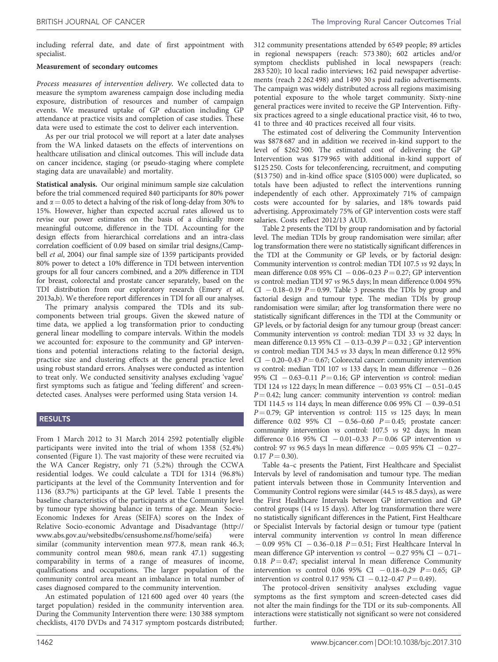including referral date, and date of first appointment with specialist.

#### Measurement of secondary outcomes

Process measures of intervention delivery. We collected data to measure the symptom awareness campaign dose including media exposure, distribution of resources and number of campaign events. We measured uptake of GP education including GP attendance at practice visits and completion of case studies. These data were used to estimate the cost to deliver each intervention.

As per our trial protocol we will report at a later date analyses from the WA linked datasets on the effects of interventions on healthcare utilisation and clinical outcomes. This will include data on cancer incidence, staging (or pseudo-staging where complete staging data are unavailable) and mortality.

Statistical analysis. Our original minimum sample size calculation before the trial commenced required 840 participants for 80% power and  $\alpha = 0.05$  to detect a halving of the risk of long-delay from 30% to 15%. However, higher than expected accrual rates allowed us to revise our power estimates on the basis of a clinically more meaningful outcome, difference in the TDI. Accounting for the design effects from hierarchical correlations and an intra-class correlation coefficient of 0.09 based on similar trial designs,[\(Camp-](#page-12-0)bell et al[, 2004\)](#page-12-0) our final sample size of 1359 participants provided 80% power to detect a 10% difference in TDI between intervention groups for all four cancers combined, and a 20% difference in TDI for breast, colorectal and prostate cancer separately, based on the TDI distribution from our exploratory research [\(Emery](#page-12-0) et al, [2013a,b](#page-12-0)). We therefore report differences in TDI for all our analyses.

The primary analysis compared the TDIs and its subcomponents between trial groups. Given the skewed nature of time data, we applied a log transformation prior to conducting general linear modelling to compare intervals. Within the models we accounted for: exposure to the community and GP interventions and potential interactions relating to the factorial design, practice size and clustering effects at the general practice level using robust standard errors. Analyses were conducted as intention to treat only. We conducted sensitivity analyses excluding 'vague' first symptoms such as fatigue and 'feeling different' and screendetected cases. Analyses were performed using Stata version 14.

#### RESULTS

From 1 March 2012 to 31 March 2014 2592 potentially eligible participants were invited into the trial of whom 1358 (52.4%) consented ([Figure 1](#page-7-0)). The vast majority of these were recruited via the WA Cancer Registry, only 71 (5.2%) through the CCWA residential lodges. We could calculate a TDI for 1314 (96.8%) participants at the level of the Community Intervention and for 1136 (83.7%) participants at the GP level. [Table 1](#page-8-0) presents the baseline characteristics of the participants at the Community level by tumour type showing balance in terms of age. Mean Socio-Economic Indexes for Areas (SEIFA) scores on the Index of Relative Socio-economic Advantage and Disadvantage [\(http://](http://www.abs.gov.au/websitedbs/censushome.nsf/home/seifa) [www.abs.gov.au/websitedbs/censushome.nsf/home/seifa](http://www.abs.gov.au/websitedbs/censushome.nsf/home/seifa)) were similar (community intervention mean 977.8, mean rank 46.3; community control mean 980.6, mean rank 47.1) suggesting comparability in terms of a range of measures of income, qualifications and occupations. The larger population of the community control area meant an imbalance in total number of cases diagnosed compared to the community intervention.

An estimated population of 121 600 aged over 40 years (the target population) resided in the community intervention area. During the Community Intervention there were: 130 388 symptom checklists, 4170 DVDs and 74 317 symptom postcards distributed; 312 community presentations attended by 6549 people; 89 articles in regional newspapers (reach: 573 380); 602 articles and/or symptom checklists published in local newspapers (reach: 283 520); 10 local radio interviews; 162 paid newspaper advertisements (reach 2 262 498) and 1490 30 s paid radio advertisements. The campaign was widely distributed across all regions maximising potential exposure to the whole target community. Sixty-nine general practices were invited to receive the GP Intervention. Fiftysix practices agreed to a single educational practice visit, 46 to two, 41 to three and 40 practices received all four visits.

The estimated cost of delivering the Community Intervention was \$878 687 and in addition we received in-kind support to the level of \$262 500. The estimated cost of delivering the GP Intervention was \$179 965 with additional in-kind support of \$125 250. Costs for teleconferencing, recruitment, and computing (\$13 750) and in-kind office space (\$105 000) were duplicated, so totals have been adjusted to reflect the interventions running independently of each other. Approximately 71% of campaign costs were accounted for by salaries, and 18% towards paid advertising. Approximately 75% of GP intervention costs were staff salaries. Costs reflect 2012/13 AUD.

[Table 2](#page-8-0) presents the TDI by group randomisation and by factorial level. The median TDIs by group randomisation were similar; after log transformation there were no statistically significant differences in the TDI at the Community or GP levels, or by factorial design: Community intervention vs control: median TDI 107.5 vs 92 days; ln mean difference 0.08 95% CI  $-$  0.06–0.23  $P = 0.27$ ; GP intervention vs control: median TDI 97 vs 96.5 days; ln mean difference 0.004 95% CI  $-0.18-0.19$  P  $= 0.99$ . [Table 3](#page-8-0) presents the TDIs by group and factorial design and tumour type. The median TDIs by group randomisation were similar; after log transformation there were no statistically significant differences in the TDI at the Community or GP levels, or by factorial design for any tumour group (breast cancer: Community intervention vs control: median TDI 33 vs 32 days; ln mean difference 0.13 95% CI  $-$  0.13–0.39  $P = 0.32$ ; GP intervention vs control: median TDI 34.5 vs 33 days; ln mean difference 0.12 95% CI  $-0.20-0.43$   $P = 0.67$ ; Colorectal cancer: community intervention vs control: median TDI 107 vs 133 days; ln mean difference  $-0.26$ 95% CI  $-0.63-0.11$   $P=0.16$ ; GP intervention vs control: median TDI 124 vs 122 days; ln mean difference  $-0.03$  95% CI  $-0.51$ -0.45  $P = 0.42$ ; lung cancer: community intervention vs control: median TDI 114.5 vs 114 days; ln mean difference 0.06 95% CI  $-$  0.39-0.51  $P = 0.79$ ; GP intervention vs control: 115 vs 125 days; ln mean difference 0.02 95% CI  $-0.56-0.60$   $P = 0.45$ ; prostate cancer: community intervention vs control: 107.5 vs 92 days; ln mean difference 0.16 95% CI  $-$  0.01-0.33 P = 0.06 GP intervention vs control: 97 vs 96.5 days ln mean difference  $-0.05$  95% CI  $-0.27 0.17$   $P = 0.30$ ).

[Table 4a–c](#page-9-0) presents the Patient, First Healthcare and Specialist Intervals by level of randomisation and tumour type. The median patient intervals between those in Community Intervention and Community Control regions were similar (44.5 vs 48.5 days), as were the First Healthcare Intervals between GP intervention and GP control groups (14 vs 15 days). After log transformation there were no statistically significant differences in the Patient, First Healthcare or Specialist Intervals by factorial design or tumour type (patient interval community intervention vs control ln mean difference  $-0.09$  95% CI  $-0.36-0.18$  P  $= 0.51$ ; First Healthcare Interval ln mean difference GP intervention vs control  $-0.27$  95% CI  $-0.71-$ 0.18  $P = 0.47$ ; specialist interval ln mean difference Community intervention vs control 0.06 95% CI  $-0.18-0.29$   $P = 0.65$ ; GP intervention *vs* control 0.17 95% CI  $-0.12-0.47$  P  $= 0.49$ ).

The protocol-driven sensitivity analyses excluding vague symptoms as the first symptom and screen-detected cases did not alter the main findings for the TDI or its sub-components. All interactions were statistically not significant so were not considered further.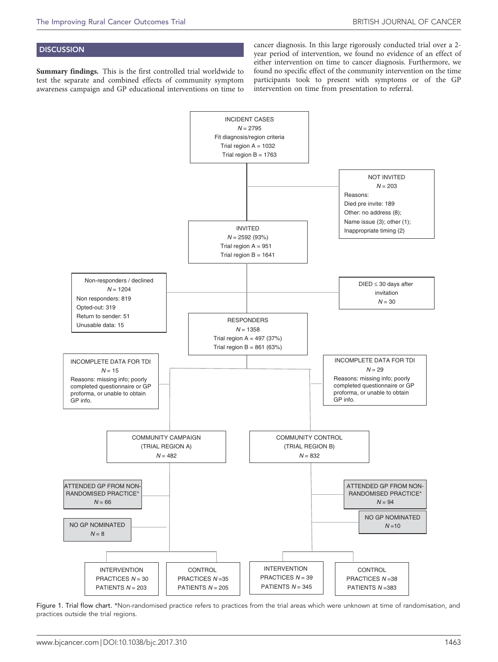### <span id="page-7-0"></span>**DISCUSSION**

Summary findings. This is the first controlled trial worldwide to test the separate and combined effects of community symptom awareness campaign and GP educational interventions on time to

cancer diagnosis. In this large rigorously conducted trial over a 2 year period of intervention, we found no evidence of an effect of either intervention on time to cancer diagnosis. Furthermore, we found no specific effect of the community intervention on the time participants took to present with symptoms or of the GP intervention on time from presentation to referral.



Figure 1. Trial flow chart. \*Non-randomised practice refers to practices from the trial areas which were unknown at time of randomisation, and practices outside the trial regions.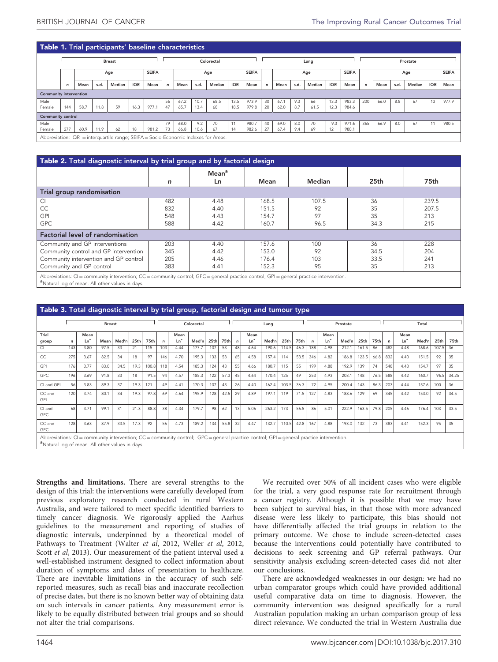#### <span id="page-8-0"></span>Table 1. Trial participants' baseline characteristics

|                                                                                    | . .          |      |      |               |            |              |    |      |      |            |              |       |              |      |      |        |              |       |     |              |      |        |            |       |
|------------------------------------------------------------------------------------|--------------|------|------|---------------|------------|--------------|----|------|------|------------|--------------|-------|--------------|------|------|--------|--------------|-------|-----|--------------|------|--------|------------|-------|
|                                                                                    |              |      |      | <b>Breast</b> |            |              |    |      |      | Colorectal |              |       | Lung         |      |      |        |              |       |     |              |      |        |            |       |
|                                                                                    |              |      |      | Age           |            | <b>SEIFA</b> |    |      |      | Age        | <b>SEIFA</b> |       |              |      |      | Age    | <b>SEIFA</b> |       |     | <b>SEIFA</b> |      |        |            |       |
|                                                                                    | $\mathsf{n}$ | Mean | s.d. | Median        | <b>IQR</b> | Mean         |    | Mean | s.d. | Median     | <b>IQR</b>   | Mean  | $\mathsf{n}$ | Mean | s.d. | Median | <b>IQR</b>   | Mean  | n   | Mean         | s.d. | Median | <b>IQR</b> | Mean  |
| <b>Community intervention</b>                                                      |              |      |      |               |            |              |    |      |      |            |              |       |              |      |      |        |              |       |     |              |      |        |            |       |
| Male                                                                               |              |      |      |               |            |              | 56 | 67.2 | 10.7 | 68.5       | 13.5         | 973.9 | 30           | 67.1 | 9.3  | 66     | 13.3         | 983.3 | 200 | 66.0         | 8.8  | 67     | 13         | 977.9 |
| Female                                                                             | 144          | 58.7 | 11.8 | 59            | 16.3       | 977.1        | 47 | 65.7 | 13.4 | 68         | 18.5         | 979.8 | 20           | 62.0 | 8.7  | 61.5   | 12.3         | 984.6 |     |              |      |        |            |       |
| Community control                                                                  |              |      |      |               |            |              |    |      |      |            |              |       |              |      |      |        |              |       |     |              |      |        |            |       |
| Male                                                                               |              |      |      |               |            |              | 79 | 68.0 | 9.2  | 70         | 11           | 980.7 | 40           | 69.0 | 8.0  | 70     | 9.3          | 971.6 | 365 | 66.9         | 8.0  | 67     |            | 980.5 |
| Female                                                                             | 277          | 60.9 | 11.9 | 62            | 18         | 981.2        | 73 | 66.8 | 10.6 | 67         | 14           | 982.6 | 27           | 67.4 | 9.4  | 69     | 12           | 980.1 |     |              |      |        |            |       |
| Abbreviation: IQR = interquartile range; SEIFA = Socio-Economic Indexes for Areas. |              |      |      |               |            |              |    |      |      |            |              |       |              |      |      |        |              |       |     |              |      |        |            |       |

| Table 2. Total diagnostic interval by trial group and by factorial design                                                                                                                               |     |                         |       |        |      |       |  |  |  |  |  |  |  |  |
|---------------------------------------------------------------------------------------------------------------------------------------------------------------------------------------------------------|-----|-------------------------|-------|--------|------|-------|--|--|--|--|--|--|--|--|
|                                                                                                                                                                                                         | n   | Mean <sup>a</sup><br>Ln | Mean  | Median | 25th | 75th  |  |  |  |  |  |  |  |  |
| Trial group randomisation                                                                                                                                                                               |     |                         |       |        |      |       |  |  |  |  |  |  |  |  |
| $\overline{C}$                                                                                                                                                                                          | 482 | 4.48                    | 168.5 | 107.5  | 36   | 239.5 |  |  |  |  |  |  |  |  |
| CC.                                                                                                                                                                                                     | 832 | 4.40                    | 151.5 | 92     | 35   | 207.5 |  |  |  |  |  |  |  |  |
| GPI                                                                                                                                                                                                     | 548 | 4.43                    | 154.7 | 97     | 35   | 213   |  |  |  |  |  |  |  |  |
| <b>GPC</b>                                                                                                                                                                                              | 588 | 4.42                    | 160.7 | 96.5   | 34.3 | 215   |  |  |  |  |  |  |  |  |
| <b>Factorial level of randomisation</b>                                                                                                                                                                 |     |                         |       |        |      |       |  |  |  |  |  |  |  |  |
| Community and GP interventions                                                                                                                                                                          | 203 | 4.40                    | 157.6 | 100    | 36   | 228   |  |  |  |  |  |  |  |  |
| Community control and GP intervention                                                                                                                                                                   | 345 | 4.42                    | 153.0 | 92     | 34.5 | 204   |  |  |  |  |  |  |  |  |
| Community intervention and GP control                                                                                                                                                                   | 205 | 4.46                    | 176.4 | 103    | 33.5 | 241   |  |  |  |  |  |  |  |  |
| Community and GP control                                                                                                                                                                                | 383 | 4.41                    | 152.3 | 95     | 35   | 213   |  |  |  |  |  |  |  |  |
| Abbreviations: CI = community intervention; CC = community control; GPC = general practice control; GPI = general practice intervention.<br><sup>a</sup> Natural log of mean. All other values in days. |     |                         |       |        |      |       |  |  |  |  |  |  |  |  |

|                                                                                                                                                                                                 | Table 3. Total diagnostic interval by trial group, factorial design and tumour type |                         |               |       |      |       |              |                         |           |      |      |              |                         |       |       |      |              |                         |          |       |      |     |                         |       |       |       |  |  |
|-------------------------------------------------------------------------------------------------------------------------------------------------------------------------------------------------|-------------------------------------------------------------------------------------|-------------------------|---------------|-------|------|-------|--------------|-------------------------|-----------|------|------|--------------|-------------------------|-------|-------|------|--------------|-------------------------|----------|-------|------|-----|-------------------------|-------|-------|-------|--|--|
|                                                                                                                                                                                                 |                                                                                     |                         | <b>Breast</b> |       |      |       |              |                         | Colorecta |      |      |              | Lung                    |       |       |      |              |                         | Prostate |       |      |     |                         |       |       | Total |  |  |
| Trial<br>group                                                                                                                                                                                  | $\mathsf{n}$                                                                        | Mean<br>Ln <sup>a</sup> | Mean          | Med'n | 25th | 75th  | $\mathsf{n}$ | Mean<br>Ln <sup>a</sup> | Med'n     | 25th | 75th | $\mathsf{n}$ | Mean<br>Ln <sup>a</sup> | Med'n | 25th  | 75th | $\mathbf{r}$ | Mean<br>Ln <sup>a</sup> | Med'n    | 25th  | 75th | n   | Mean<br>Ln <sup>a</sup> | Med'n | 25th  | 75th  |  |  |
| CI                                                                                                                                                                                              | 143                                                                                 | 3.80                    | 97.5          | 33    | 21   | 115   | 103          | 4.44                    | 177.7     | 107  | 53   | 48           | 4.64                    | 190.6 | 114.5 | 46.3 | 188          | 4.98                    | 212.1    | 161.5 | 86   | 482 | 4.48                    | 168.6 | 107.5 | 36    |  |  |
| CC                                                                                                                                                                                              | 275                                                                                 | 3.67                    | 82.5          | 34    | 18   | 97    | 146          | 4.70                    | 195.3     | 133  | 53   | 65           | 4.58                    | 157.4 | 114   | 53.5 | 346          | 4.82                    | 186.8    | 123.5 | 66.8 | 832 | 4.40                    | 151.5 | 92    | 35    |  |  |
| GPI                                                                                                                                                                                             | 176                                                                                 | 3.77                    | 83.0          | 34.5  | 19.3 | 100.8 | 118          | 4.54                    | 185.3     | 124  | 43   | 55           | 4.66                    | 180.7 | 115   | 55   | 199          | 4.88                    | 192.9    | 139   | 74   | 548 | 4.43                    | 154.7 | 97    | 35    |  |  |
| GPC                                                                                                                                                                                             | 196                                                                                 | 3.69                    | 91.8          | 33    | 18   | 91.5  | 94           | 4.57                    | 185.3     | 122  | 57.3 | 45           | 4.64                    | 170.4 | 125   | 49   | 253          | 4.93                    | 203.     | 148   | 76.5 | 588 | 4.42                    | 160.7 | 96.5  | 34.25 |  |  |
| CI and GPI                                                                                                                                                                                      | 56                                                                                  | 3.83                    | 89.3          | 37    | 19.3 | 121   | 49           | 4.41                    | 170.3     | 107  | 43   | 26           | 4.40                    | 162.4 | 103.5 | 36.3 | 72           | 4.95                    | 200.4    | 143   | 86.3 | 203 | 4.44                    | 157.6 | 100   | 36    |  |  |
| CC and<br><b>GPI</b>                                                                                                                                                                            | 120                                                                                 | 3.74                    | 80.1          | 34    | 19.3 | 97.8  | 69           | 4.64                    | 195.9     | 128  | 42.5 | 29           | 4.89                    | 197.1 | 119   | 71.5 | 127          | 4.83                    | 188.6    | 129   | 69   | 345 | 4.42                    | 153.0 | 92    | 34.5  |  |  |
| CI and<br>GPC                                                                                                                                                                                   | 68                                                                                  | 3.71                    | 99.1          | 31    | 21.3 | 88.8  | 38           | 4.34                    | 179.7     | 98   | 62   | 13           | 5.06                    | 263.2 | 173   | 56.5 | 86           | 5.01                    | 222.9    | 163.5 | 79.8 | 205 | 4.46                    | 176.4 | 103   | 33.5  |  |  |
| CC and<br>GPC                                                                                                                                                                                   | 128                                                                                 | 3.63                    | 87.9          | 33.5  | 17.3 | 92    | 56           | 4.73                    | 189.2     | 134  | 55.8 | 32           | 4.47                    | 132.7 | 110.5 | 42.8 | 167          | 4.88                    | 193.0    | 132   | 73   | 383 | 4.41                    | 152.3 | 95    | 35    |  |  |
| Abbreviations: $Cl =$ community intervention; $CC =$ community control; GPC = general practice control; GPI = general practice intervention.<br>"Natural log of mean. All other values in days. |                                                                                     |                         |               |       |      |       |              |                         |           |      |      |              |                         |       |       |      |              |                         |          |       |      |     |                         |       |       |       |  |  |

Strengths and limitations. There are several strengths to the design of this trial: the interventions were carefully developed from previous exploratory research conducted in rural Western Australia, and were tailored to meet specific identified barriers to timely cancer diagnosis. We rigorously applied the Aarhus guidelines to the measurement and reporting of studies of diagnostic intervals, underpinned by a theoretical model of Pathways to Treatment [\(Walter](#page-13-0) et al, 2012, [Weller](#page-13-0) et al, 2012, Scott et al[, 2013\)](#page-12-0). Our measurement of the patient interval used a well-established instrument designed to collect information about duration of symptoms and dates of presentation to healthcare. There are inevitable limitations in the accuracy of such selfreported measures, such as recall bias and inaccurate recollection of precise dates, but there is no known better way of obtaining data on such intervals in cancer patients. Any measurement error is likely to be equally distributed between trial groups and so should not alter the trial comparisons.

We recruited over 50% of all incident cases who were eligible for the trial, a very good response rate for recruitment through a cancer registry. Although it is possible that we may have been subject to survival bias, in that those with more advanced disease were less likely to participate, this bias should not have differentially affected the trial groups in relation to the primary outcome. We chose to include screen-detected cases because the interventions could potentially have contributed to decisions to seek screening and GP referral pathways. Our sensitivity analysis excluding screen-detected cases did not alter our conclusions.

There are acknowledged weaknesses in our design: we had no urban comparator groups which could have provided additional useful comparative data on time to diagnosis. However, the community intervention was designed specifically for a rural Australian population making an urban comparison group of less direct relevance. We conducted the trial in Western Australia due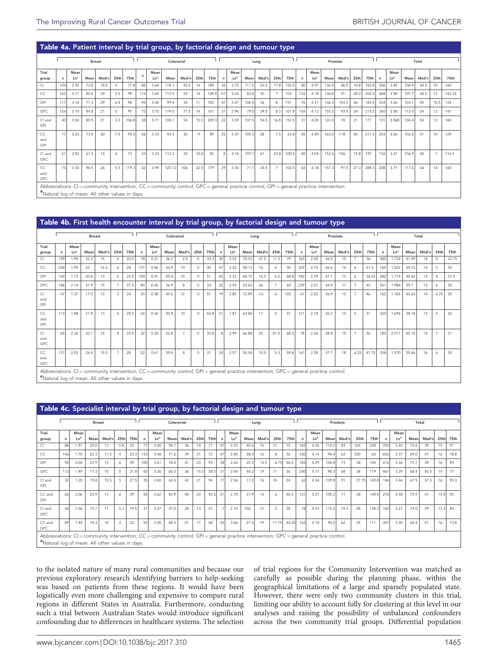#### <span id="page-9-0"></span>Table 4a. Patient interval by trial group, by factorial design and tumour type  $\overline{\phantom{a}}$ Breast the Colorectal the Lung the Prostate the Total Total Total Lung (1999) (1999) (1999) (1999) (1999) (199 Trial Mea Me Me<br>Ln<sup>a</sup> 1ean<br>Ln<sup>a</sup> Mean Med'n 25th 75th <sup>n</sup> Ln<sup>a</sup> Mean  $Mean$  Med'n  $25th$  75th group Ln<sup>a</sup> Mean Med'n 25th 75th n Ln<sup>a</sup> Mean Med'n 25th 75th n Ln<sup>a</sup> Mean Med'n 25th 75th n CI | 104| 2.92 | 73.8 | 18.5 | 4 | 77.8 | 86| 3.64 | 118.1 | 50.5 | 14 | 180 | 36| 3.70 | 11.1.5 | 54.5 | 17.8 | 155.5 | 80 | 3.97 | 136.0 | 86.5 | 18.8 | 183.8 | 306 | 3.49 | 106.9 | 44.5 | 10 | 160 CC | 165| 3.17 | 80.6 | 29 | 5.5 | 99 | 114| 3.64 | 113.5 | 53 | 14 | 148.8 |57| 3.26 | 83.6 | 30 | 7 | 103 | 132 | 4.18 | 146.8 | 91 | 28.3 | 202.5 | 468 | 3.58 | 107.7 | 48.5 | 12 | 142.25 GPI | 117| 3.18 | 77.3 | 29 | 6.5 | 98 | 94| 3.48 | 99.4 | 34 | 11 | 102 | 47| 3.47 | 106.4 | 36 | 36 | 151 | 76| 4.31 | 146.3 | 103.5 | 36 | 183.5 | 334 | 3.56 | 103.1 | 45 | 10.5 | 134 GPC | 124| 3.10 | 84.8 | 21 | 5 | 95 | 75| 3.70 | 119.5 | 77.5 | 14 | 161 | 37| 2.96 | 79.0 | 39.5 | 8.3 | 101.8 | 104| 4.12 | 155.5 | 93.5 | 24 | 213.5 | 340 | 3.58 | 113.4 | 54 | 13 | 147 CI and 40| 3.04 | 85.5 | 21 | 3.3 | 106.8| 38| 3.71 | 108.1 | 54 | 15.5| 209.3| 22| 3.59 | 107.5| 54.5 | 16.8 | 152.5| 31| 4.05 | 122.0| 78 | 21 | 177 | 131| 3.568 | 104.4 | 54 | 12 | 160 GPI  $cc$ 77| 3.25 | 73.0 | 30 | 7.5 | 95.5| 56| 3.33 | 93.5 | 30 | 9 | 89 | 25| 3.37 | 105.3| 28 | 7.5 | 23.8 | 45 | 4.49 | 163.0 | 118 | 45 | 211.5 | 203 | 3.56 | 102.6 | 41 | 10 | 129 and GPI CI and 51 2.82 67.5 14 4 73 33 3.33 112.3 43 10.5 92 8 3.76 107.7 61 23.8 100.5 40 4.04 152.6 106 15.8 197 132 3.37 106.9 40 7 116.5 GPC  $\overline{c}$ 73| 3.30 | 96.5 | 26 | 5.5 | 119.3| 42| 3.99 | 125.12| 106 | 22.5| 179 | 29| 3.30 | 71.1| 34.5 | 7 | 103.5| 64| 4.18 | 157.3| 91.5| 27.3| 288.3| 208| 3.71 | 117.6| 64 | 14 | 160 and GPC Abbreviations: CI = community intervention; CC = community control; GPC = general practice control; GPI = general practice intervention **a**Natural log of mean. All other values in davs

#### Table 4b. First health encounter interval by trial group, by factorial design and tumour type

|                                                             | Colorectal<br><b>Breast</b> |                         |      |       |                |      |              |                         |      |                 |            |      |              |             | Lung  |                                                                                                                                          | Prostate       |      |              |                         |      |       |      | Total |              |                         |       |       |                |       |
|-------------------------------------------------------------|-----------------------------|-------------------------|------|-------|----------------|------|--------------|-------------------------|------|-----------------|------------|------|--------------|-------------|-------|------------------------------------------------------------------------------------------------------------------------------------------|----------------|------|--------------|-------------------------|------|-------|------|-------|--------------|-------------------------|-------|-------|----------------|-------|
| Trial<br>group                                              | $\mathsf{n}$                | Mean<br>Ln <sup>a</sup> | Mean | Med'n | 25th           | 75th | $\mathsf{n}$ | Mean<br>Ln <sup>a</sup> | Mean | Med'n           | 25th       | 75th | $\mathsf{n}$ | Mean<br>Lnª | Mean  | Med'n                                                                                                                                    | 25th           | 75th | $\mathsf{n}$ | Mean<br>Ln <sup>a</sup> | Mean | Med'n | 25th | 75th  | $\mathsf{n}$ | Mean<br>Ln <sup>a</sup> | Mean  | Med'n | 25th           | 75th  |
| CI.                                                         | 129                         | 1.94                    | 32.3 | 14    | 6              | 24.5 | 78           | 0.21                    | 36.2 | 2.5             | $^{\circ}$ | 33.3 | 30           | 3.24        | 70.53 | 47.5                                                                                                                                     | 11.3           | 79   | 163          | 2.20                    | 46.0 | 15    |      | 36    | 400          | 1.724                   | 41.49 | 14    | 5              | 32.75 |
| CC                                                          | 258                         | 1.95                    | 25   | 14.5  | 6              | 28   | 131          | 0.56                    | 44.9 | 10              | $\circ$    | 40   | 47           | 2.32        | 58.13 | 16                                                                                                                                       | 6              | 50   | 329          | 2.15                    | 46.6 | 14    | 6    | 41.5  | 765          | 1.822                   | 39.72 | 14    | 5              | 35    |
| GPI                                                         | 160                         | 1.73                    | 20.4 | 13    | 6              | 25.8 | 100          | 0.41                    | 50.4 | 10 <sup>1</sup> | $\Omega$   | 51   | 40           | 2.33        | 68.15 | 16.5                                                                                                                                     | 6.3            | 68.8 | 182          | 2.29                    | 47.1 | 14    | 6    | 36.25 | 482          | 1.719                   | 40.66 | 14    | $\overline{4}$ | 33.5  |
| GPC                                                         | 186                         | 2.14                    | 31.9 | 15    | $\overline{7}$ | 27.5 | 84           | 0.45                    | 36.9 | 8               | $\Omega$   | 33   | 32           | 2.93        | 53.63 | 26                                                                                                                                       | $\overline{7}$ | 63   | 239          | 2.27                    | 44.9 | 17    |      | 42    | 541          | 1.984                   | 39.7  | 15    | 6              | 35    |
| CI.<br>and<br>GPI                                           | 47                          | 1.37                    | 17.0 | 13    | 3              | 24   | 35           | 0.38                    | 49.6 | 12              | $\circ$    | 51   | 19           | 2.85        | 72.89 | 14                                                                                                                                       | 6              | 103  | 61           | 2.52                    | 56.9 | 15    |      | 46    | 162          | 1.765                   | 45.63 | 14    | 4.75           | 35    |
| CC<br>and<br>GPI                                            | 113                         | 1.88                    | 21.8 | 13    | 6              | 28.5 | 65           | 0.42                    | 50.8 | 10              | $\Omega$   | 63.8 | 21           | 1.87        | 63.86 | 17                                                                                                                                       | 5.             | 41   | 121          | 2.18                    | 42.2 | 14    | 5    | 31    | 320          | 1.696                   | 38.14 | 13    | 4              | 32    |
| CI.<br>and<br>GPC                                           | 65                          | 2.36                    | 42.1 | 14    | 8              | 24.5 | 32           | 0.20                    | 32.8 | $\overline{7}$  | $\Omega$   | 33.8 | 8            | 3.99        | 66.88 | 55                                                                                                                                       | 47.3           | 68.3 | 78           | 2.26                    | 38.8 | 15    |      | 36    | 183          | 2.011                   | 40.15 | 14    |                | 31    |
| CC<br>and<br>GPC                                            | 121                         | 2.03                    | 26.4 | 15.5  |                | 28   | 52           | 0.61                    | 39.4 | 8               | $\Omega$   | 31   | 24           | 2.57        | 50.54 | 10.5                                                                                                                                     | 5.3            | 59.8 | 161          | 2.28                    | 47.7 | 18    | 6.25 | 47.75 | 358          | 1.970                   | 39.46 | 16    | 6              | 35    |
| <sup>a</sup> Natural log of mean. All other values in days. |                             |                         |      |       |                |      |              |                         |      |                 |            |      |              |             |       | Abbreviations: CI = community intervention; CC = community control; GPI = general practice intervention; GPC = general practice control. |                |      |              |                         |      |       |      |       |              |                         |       |       |                |       |

#### Table 4c. Specialist interval by trial group, by factorial design and tumour type Breast Colorectal Lung Prostate Total Trial grou Mea<br>Ln<sup>a</sup> Mean Med'n 25th 75th Mea<br>Ln<sup>a</sup> Ln<sup>a</sup> Mean Med'n 25th 75th n Mea<br>Ln<sup>a</sup> Mean Med'n 25th 75th Mea<br>Ln<sup>a</sup> Ln<sup>a</sup> Mean Med'n 25th 75th n Mea<br>Lnª Lna Mean Med'n 25th 75th CI 86 1.91 | 20.0 | 13 | 5.8 | 23 | 77 | 3.40 | 54.1 | 36 | 14 | 71 | 27 | 2.53 | 40.6 | 16 | 21 | 72 | 165 | 4.36 | 114.2 | 83 | 165 | 228 | 355 | 3.42 | 72.6 | 39 | 15 | 91 CC | 146| 1.70 | 22.3 | 11.5 | 4 | 23.3 | 133| 3.48 | 71.6 | 39 | 21 | 72 | 47| 2.80 | 28.3 | 16 | 8 | 36 | 330 | 4.14 | 63 | 330 | 63 | 656| 3.37 | 69.0 | 41 | 16 | 78.8 GPI 95 2.04 | 23.9 | 13 | 6 | 29 | 100 | 3.61 | 76.4 | 41 | 23 | 93 | 38| 2.64 | 25.3 | 14.5 | 6.75 | 26.5 | 183 | 4.29 | 106.8 | 73 | 38 | 140 | 416 | 3.36 | 73.1 | 39 | 16 | 93 GPC | 113| 1.49 | 17.3 | 10 | 5 | 21.8| 83| 3.36 | 60.3 | 36 | 15.5| 58.5| 31| 2.84 | 44.2| 19 | 11 | 36 | 240| 4.17 | 98.3| 68 | 38 | 119 | 467| 3.29 | 68.4 | 40.5 | 14 | 77 CL<sub>and</sub> GPI 32 1.20 | 19.8 | 15.5 | 5 | 27.5 | 35 | 3.60 | 62.4 | 42 | 21 | 94 | 17 | 2.56 | 17.2 | 16 | 10 | 24 | 62 | 4.34 | 109.8 | 91 | 37.75 | 140.8 | 146 | 3.44 | 67.9 | 37.5 | 16 | 93.3 CC and GPI 63| 2.06 | 25.9| 13 | 6 | 29 | 65| 3.62 | 83.9| 40 | 23 | 92.5| 21| 2.70 | 31.9| 14 | 6 | 40.5 |121| 4.27 | 105.2| 71 | 38 | 140.5| 270| 3.48 | 75.9| 41 | 15.5| 92 CI and GPC 44| 1.56 | 15.7 | 11 | 5.3 | 19.5 | 31| 3.27 | 47.0 | 28 | 13 | 57 | 7| 2.10 | 102 | 12 | 5 | 28 | 78| 4.33 | 115.2 | 76.5 | 48 | 138.3 | 160 | 3.27 | 74.0 | 39 | 13.3 | 84 CC and G<sub>P</sub>c 69| 1.44 | 18.3 | 10 | 4 | 22 | 52| 3.40 | 68.3 | 41 | 17 | 60 | 24| 3.06 | 27.4| 19 | 11.75| 44.25| 162| 4.10 | 90.2| 62 | 35 | 111 | 307| 3.30 | 65.4 | 41 | 16 | 73.8 Abbreviations: CI = community intervention; CC = community control; GPI = general practice intervention; GPC = general practice control. a<br>Natural log of mean. All other values in days

to the isolated nature of many rural communities and because our previous exploratory research identifying barriers to help-seeking was based on patients from these regions. It would have been logistically even more challenging and expensive to compare rural regions in different States in Australia. Furthermore, conducting such a trial between Australian States would introduce significant confounding due to differences in healthcare systems. The selection of trial regions for the Community Intervention was matched as carefully as possible during the planning phase, within the geographical limitations of a large and sparsely populated state. However, there were only two community clusters in this trial, limiting our ability to account fully for clustering at this level in our analyses and raising the possibility of unbalanced confounders across the two community trial groups. Differential population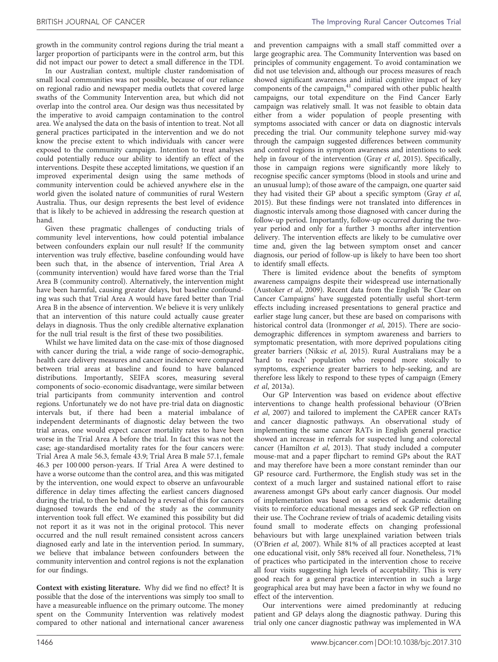growth in the community control regions during the trial meant a larger proportion of participants were in the control arm, but this did not impact our power to detect a small difference in the TDI.

In our Australian context, multiple cluster randomisation of small local communities was not possible, because of our reliance on regional radio and newspaper media outlets that covered large swaths of the Community Intervention area, but which did not overlap into the control area. Our design was thus necessitated by the imperative to avoid campaign contamination to the control area. We analysed the data on the basis of intention to treat. Not all general practices participated in the intervention and we do not know the precise extent to which individuals with cancer were exposed to the community campaign. Intention to treat analyses could potentially reduce our ability to identify an effect of the interventions. Despite these accepted limitations, we question if an improved experimental design using the same methods of community intervention could be achieved anywhere else in the world given the isolated nature of communities of rural Western Australia. Thus, our design represents the best level of evidence that is likely to be achieved in addressing the research question at hand.

Given these pragmatic challenges of conducting trials of community level interventions, how could potential imbalance between confounders explain our null result? If the community intervention was truly effective, baseline confounding would have been such that, in the absence of intervention, Trial Area A (community intervention) would have fared worse than the Trial Area B (community control). Alternatively, the intervention might have been harmful, causing greater delays, but baseline confounding was such that Trial Area A would have fared better than Trial Area B in the absence of intervention. We believe it is very unlikely that an intervention of this nature could actually cause greater delays in diagnosis. Thus the only credible alternative explanation for the null trial result is the first of these two possibilities.

Whilst we have limited data on the case-mix of those diagnosed with cancer during the trial, a wide range of socio-demographic, health care delivery measures and cancer incidence were compared between trial areas at baseline and found to have balanced distributions. Importantly, SEIFA scores, measuring several components of socio-economic disadvantage, were similar between trial participants from community intervention and control regions. Unfortunately we do not have pre-trial data on diagnostic intervals but, if there had been a material imbalance of independent determinants of diagnostic delay between the two trial areas, one would expect cancer mortality rates to have been worse in the Trial Area A before the trial. In fact this was not the case; age-standardised mortality rates for the four cancers were: Trial Area A male 56.3, female 43.9; Trial Area B male 57.1, female 46.3 per 100 000 person-years. If Trial Area A were destined to have a worse outcome than the control area, and this was mitigated by the intervention, one would expect to observe an unfavourable difference in delay times affecting the earliest cancers diagnosed during the trial, to then be balanced by a reversal of this for cancers diagnosed towards the end of the study as the community intervention took full effect. We examined this possibility but did not report it as it was not in the original protocol. This never occurred and the null result remained consistent across cancers diagnosed early and late in the intervention period. In summary, we believe that imbalance between confounders between the community intervention and control regions is not the explanation for our findings.

Context with existing literature. Why did we find no effect? It is possible that the dose of the interventions was simply too small to have a measureable influence on the primary outcome. The money spent on the Community Intervention was relatively modest compared to other national and international cancer awareness

and prevention campaigns with a small staff committed over a large geographic area. The Community Intervention was based on principles of community engagement. To avoid contamination we did not use television and, although our process measures of reach showed significant awareness and initial cognitive impact of key components of the campaign,<sup>41</sup> compared with other public health campaigns, our total expenditure on the Find Cancer Early campaign was relatively small. It was not feasible to obtain data either from a wider population of people presenting with symptoms associated with cancer or data on diagnostic intervals preceding the trial. Our community telephone survey mid-way through the campaign suggested differences between community and control regions in symptom awareness and intentions to seek help in favour of the intervention (Gray et al[, 2015\)](#page-12-0). Specifically, those in campaign regions were significantly more likely to recognise specific cancer symptoms (blood in stools and urine and an unusual lump); of those aware of the campaign, one quarter said they had visited their GP about a specific symptom ([Gray](#page-12-0) et al, [2015](#page-12-0)). But these findings were not translated into differences in diagnostic intervals among those diagnosed with cancer during the follow-up period. Importantly, follow-up occurred during the twoyear period and only for a further 3 months after intervention delivery. The intervention effects are likely to be cumulative over time and, given the lag between symptom onset and cancer diagnosis, our period of follow-up is likely to have been too short to identify small effects.

There is limited evidence about the benefits of symptom awareness campaigns despite their widespread use internationally ([Austoker](#page-12-0) et al, 2009). Recent data from the English 'Be Clear on Cancer Campaigns' have suggested potentially useful short-term effects including increased presentations to general practice and earlier stage lung cancer, but these are based on comparisons with historical control data [\(Ironmonger](#page-12-0) et al, 2015). There are sociodemographic differences in symptom awareness and barriers to symptomatic presentation, with more deprived populations citing greater barriers (Niksic et al[, 2015\)](#page-12-0). Rural Australians may be a 'hard to reach' population who respond more stoically to symptoms, experience greater barriers to help-seeking, and are therefore less likely to respond to these types of campaign [\(Emery](#page-12-0) et al[, 2013a\)](#page-12-0).

Our GP Intervention was based on evidence about effective interventions to change health professional behaviour ([O'Brien](#page-12-0) et al[, 2007\)](#page-12-0) and tailored to implement the CAPER cancer RATs and cancer diagnostic pathways. An observational study of implementing the same cancer RATs in English general practice showed an increase in referrals for suspected lung and colorectal cancer [\(Hamilton](#page-12-0) et al, 2013). That study included a computer mouse-mat and a paper flipchart to remind GPs about the RAT and may therefore have been a more constant reminder than our GP resource card. Furthermore, the English study was set in the context of a much larger and sustained national effort to raise awareness amongst GPs about early cancer diagnosis. Our model of implementation was based on a series of academic detailing visits to reinforce educational messages and seek GP reflection on their use. The Cochrane review of trials of academic detailing visits found small to moderate effects on changing professional behaviours but with large unexplained variation between trials ([O'Brien](#page-12-0) et al, 2007). While 81% of all practices accepted at least one educational visit, only 58% received all four. Nonetheless, 71% of practices who participated in the intervention chose to receive all four visits suggesting high levels of acceptability. This is very good reach for a general practice intervention in such a large geographical area but may have been a factor in why we found no effect of the intervention.

Our interventions were aimed predominantly at reducing patient and GP delays along the diagnostic pathway. During this trial only one cancer diagnostic pathway was implemented in WA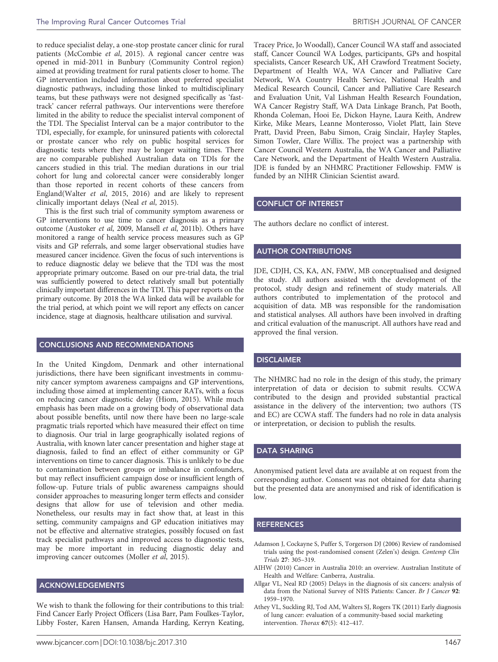<span id="page-11-0"></span>to reduce specialist delay, a one-stop prostate cancer clinic for rural patients [\(McCombie](#page-12-0) et al, 2015). A regional cancer centre was opened in mid-2011 in Bunbury (Community Control region) aimed at providing treatment for rural patients closer to home. The GP intervention included information about preferred specialist diagnostic pathways, including those linked to multidisciplinary teams, but these pathways were not designed specifically as 'fasttrack' cancer referral pathways. Our interventions were therefore limited in the ability to reduce the specialist interval component of the TDI. The Specialist Interval can be a major contributor to the TDI, especially, for example, for uninsured patients with colorectal or prostate cancer who rely on public hospital services for diagnostic tests where they may be longer waiting times. There are no comparable published Australian data on TDIs for the cancers studied in this trial. The median durations in our trial cohort for lung and colorectal cancer were considerably longer than those reported in recent cohorts of these cancers from England(Walter et al[, 2015, 2016](#page-13-0)) and are likely to represent clinically important delays (Neal et al[, 2015](#page-12-0)).

This is the first such trial of community symptom awareness or GP interventions to use time to cancer diagnosis as a primary outcome ([Austoker](#page-12-0) et al, 2009, [Mansell](#page-12-0) et al, 2011b). Others have monitored a range of health service process measures such as GP visits and GP referrals, and some larger observational studies have measured cancer incidence. Given the focus of such interventions is to reduce diagnostic delay we believe that the TDI was the most appropriate primary outcome. Based on our pre-trial data, the trial was sufficiently powered to detect relatively small but potentially clinically important differences in the TDI. This paper reports on the primary outcome. By 2018 the WA linked data will be available for the trial period, at which point we will report any effects on cancer incidence, stage at diagnosis, healthcare utilisation and survival.

#### CONCLUSIONS AND RECOMMENDATIONS

In the United Kingdom, Denmark and other international jurisdictions, there have been significant investments in community cancer symptom awareness campaigns and GP interventions, including those aimed at implementing cancer RATs, with a focus on reducing cancer diagnostic delay ([Hiom, 2015\)](#page-12-0). While much emphasis has been made on a growing body of observational data about possible benefits, until now there have been no large-scale pragmatic trials reported which have measured their effect on time to diagnosis. Our trial in large geographically isolated regions of Australia, with known later cancer presentation and higher stage at diagnosis, failed to find an effect of either community or GP interventions on time to cancer diagnosis. This is unlikely to be due to contamination between groups or imbalance in confounders, but may reflect insufficient campaign dose or insufficient length of follow-up. Future trials of public awareness campaigns should consider approaches to measuring longer term effects and consider designs that allow for use of television and other media. Nonetheless, our results may in fact show that, at least in this setting, community campaigns and GP education initiatives may not be effective and alternative strategies, possibly focused on fast track specialist pathways and improved access to diagnostic tests, may be more important in reducing diagnostic delay and improving cancer outcomes [\(Moller](#page-12-0) et al, 2015).

#### ACKNOWLEDGEMENTS

We wish to thank the following for their contributions to this trial: Find Cancer Early Project Officers (Lisa Barr, Pam Foulkes-Taylor, Libby Foster, Karen Hansen, Amanda Harding, Kerryn Keating,

Tracey Price, Jo Woodall), Cancer Council WA staff and associated staff, Cancer Council WA Lodges, participants, GPs and hospital specialists, Cancer Research UK, AH Crawford Treatment Society, Department of Health WA, WA Cancer and Palliative Care Network, WA Country Health Service, National Health and Medical Research Council, Cancer and Palliative Care Research and Evaluation Unit, Val Lishman Health Research Foundation, WA Cancer Registry Staff, WA Data Linkage Branch, Pat Booth, Rhonda Coleman, Hooi Ee, Dickon Hayne, Laura Keith, Andrew Kirke, Mike Mears, Leanne Monterosso, Violet Platt, Iain Steve Pratt, David Preen, Babu Simon, Craig Sinclair, Hayley Staples, Simon Towler, Clare Willix. The project was a partnership with Cancer Council Western Australia, the WA Cancer and Palliative Care Network, and the Department of Health Western Australia. JDE is funded by an NHMRC Practitioner Fellowship. FMW is funded by an NIHR Clinician Scientist award.

#### CONFLICT OF INTEREST

The authors declare no conflict of interest.

#### AUTHOR CONTRIBUTIONS

JDE, CDJH, CS, KA, AN, FMW, MB conceptualised and designed the study. All authors assisted with the development of the protocol, study design and refinement of study materials. All authors contributed to implementation of the protocol and acquisition of data. MB was responsible for the randomisation and statistical analyses. All authors have been involved in drafting and critical evaluation of the manuscript. All authors have read and approved the final version.

#### DISCLAIMER

The NHMRC had no role in the design of this study, the primary interpretation of data or decision to submit results. CCWA contributed to the design and provided substantial practical assistance in the delivery of the intervention; two authors (TS and EC) are CCWA staff. The funders had no role in data analysis or interpretation, or decision to publish the results.

#### DATA SHARING

Anonymised patient level data are available at on request from the corresponding author. Consent was not obtained for data sharing but the presented data are anonymised and risk of identification is low.

#### **REFERENCES**

- Adamson J, Cockayne S, Puffer S, Torgerson DJ (2006) Review of randomised trials using the post-randomised consent (Zelen's) design. Contemp Clin Trials 27: 305–319.
- AIHW (2010) Cancer in Australia 2010: an overview. Australian Institute of Health and Welfare: Canberra, Australia.
- Allgar VL, Neal RD (2005) Delays in the diagnosis of six cancers: analysis of data from the National Survey of NHS Patients: Cancer. Br J Cancer 92: 1959–1970.
- Athey VL, Suckling RJ, Tod AM, Walters SJ, Rogers TK (2011) Early diagnosis of lung cancer: evaluation of a community-based social marketing intervention. Thorax 67(5): 412–417.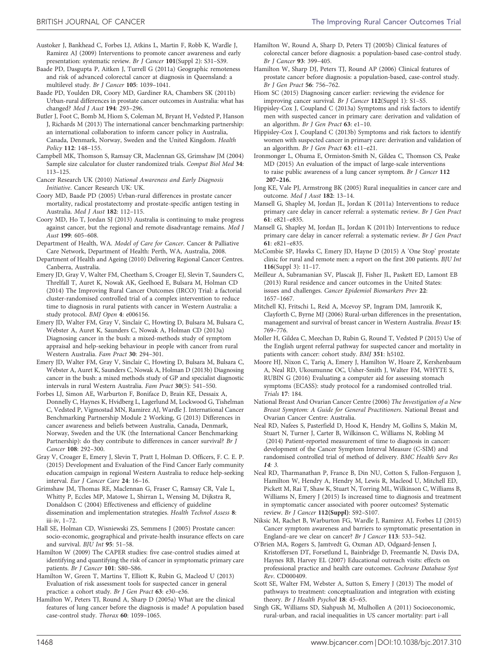- <span id="page-12-0"></span>Austoker J, Bankhead C, Forbes LJ, Atkins L, Martin F, Robb K, Wardle J, Ramirez AJ (2009) Interventions to promote cancer awareness and early presentation: systematic review. Br J Cancer 101(Suppl 2): S31–S39.
- Baade PD, Dasgupta P, Aitken J, Turrell G (2011a) Geographic remoteness and risk of advanced colorectal cancer at diagnosis in Queensland: a multilevel study. Br J Cancer 105: 1039–1041.
- Baade PD, Youlden DR, Coory MD, Gardiner RA, Chambers SK (2011b) Urban-rural differences in prostate cancer outcomes in Australia: what has changed? Med J Aust 194: 293–296.
- Butler J, Foot C, Bomb M, Hiom S, Coleman M, Bryant H, Vedsted P, Hanson J, Richards M (2013) The international cancer benchmarking partnership: an international collaboration to inform cancer policy in Australia, Canada, Denmark, Norway, Sweden and the United Kingdom. Health Policy 112: 148–155.
- Campbell MK, Thomson S, Ramsay CR, Maclennan GS, Grimshaw JM (2004) Sample size calculator for cluster randomized trials. Comput Biol Med 34: 113–125.
- Cancer Research UK (2010) National Awareness and Early Diagnosis Initiative. Cancer Research UK: UK.
- Coory MD, Baade PD (2005) Urban-rural differences in prostate cancer mortality, radical prostatectomy and prostate-specific antigen testing in Australia. Med J Aust 182: 112–115.
- Coory MD, Ho T, Jordan SJ (2013) Australia is continuing to make progress against cancer, but the regional and remote disadvantage remains. Med J Aust 199: 605–608.
- Department of Health, WA. Model of Care for Cancer. Cancer & Palliative Care Network, Department of Health: Perth, WA, Australia, 2008.
- Department of Health and Ageing (2010) Delivering Regional Cancer Centres. Canberra, Australia.
- Emery JD, Gray V, Walter FM, Cheetham S, Croager EJ, Slevin T, Saunders C, Threlfall T, Auret K, Nowak AK, Geelhoed E, Bulsara M, Holman CD (2014) The Improving Rural Cancer Outcomes (IRCO) Trial: a factorial cluster-randomised controlled trial of a complex intervention to reduce time to diagnosis in rural patients with cancer in Western Australia: a study protocol. BMJ Open 4: e006156.
- Emery JD, Walter FM, Gray V, Sinclair C, Howting D, Bulsara M, Bulsara C, Webster A, Auret K, Saunders C, Nowak A, Holman CD (2013a) Diagnosing cancer in the bush: a mixed-methods study of symptom appraisal and help-seeking behaviour in people with cancer from rural Western Australia. Fam Pract 30: 294–301.
- Emery JD, Walter FM, Gray V, Sinclair C, Howting D, Bulsara M, Bulsara C, Webster A, Auret K, Saunders C, Nowak A, Holman D (2013b) Diagnosing cancer in the bush: a mixed methods study of GP and specialist diagnostic intervals in rural Western Australia. Fam Pract 30(5): 541–550.
- Forbes LJ, Simon AE, Warburton F, Boniface D, Brain KE, Dessaix A, Donnelly C, Haynes K, Hvidberg L, Lagerlund M, Lockwood G, Tishelman C, Vedsted P, Vigmostad MN, Ramirez AJ, Wardle J. International Cancer Benchmarking Partnership Module 2 Working, G (2013) Differences in cancer awareness and beliefs between Australia, Canada, Denmark, Norway, Sweden and the UK (the International Cancer Benchmarking Partnership): do they contribute to differences in cancer survival? Br J Cancer 108: 292–300.
- Gray V, Croager E, Emery J, Slevin T, Pratt I, Holman D. Officers, F. C. E. P. (2015) Development and Evaluation of the Find Cancer Early community education campaign in regional Western Australia to reduce help-seeking interval. Eur J Cancer Care 24: 16–16.
- Grimshaw JM, Thomas RE, Maclennan G, Fraser C, Ramsay CR, Vale L, Whitty P, Eccles MP, Matowe L, Shirran L, Wensing M, Dijkstra R, Donaldson C (2004) Effectiveness and efficiency of guideline dissemination and implementation strategies. Health Technol Assess 8: iii-iv, 1–72.
- Hall SE, Holman CD, Wisniewski ZS, Semmens J (2005) Prostate cancer: socio-economic, geographical and private-health insurance effects on care and survival. BJU Int 95: 51–58.
- Hamilton W (2009) The CAPER studies: five case-control studies aimed at identifying and quantifying the risk of cancer in symptomatic primary care patients. Br J Cancer 101: S80-S86.
- Hamilton W, Green T, Martins T, Elliott K, Rubin G, Macleod U (2013) Evaluation of risk assessment tools for suspected cancer in general practice: a cohort study. Br J Gen Pract 63: e30–e36.
- Hamilton W, Peters TJ, Round A, Sharp D (2005a) What are the clinical features of lung cancer before the diagnosis is made? A population based case-control study. Thorax 60: 1059–1065.
- Hamilton W, Round A, Sharp D, Peters TJ (2005b) Clinical features of colorectal cancer before diagnosis: a population-based case-control study. Br J Cancer 93: 399–405.
- Hamilton W, Sharp DJ, Peters TJ, Round AP (2006) Clinical features of prostate cancer before diagnosis: a population-based, case-control study. Br J Gen Pract 56: 756–762.
- Hiom SC (2015) Diagnosing cancer earlier: reviewing the evidence for improving cancer survival. Br J Cancer 112(Suppl 1): S1–S5.
- Hippisley-Cox J, Coupland C (2013a) Symptoms and risk factors to identify men with suspected cancer in primary care: derivation and validation of an algorithm. Br J Gen Pract 63: e1–10.
- Hippisley-Cox J, Coupland C (2013b) Symptoms and risk factors to identify women with suspected cancer in primary care: derivation and validation of an algorithm. Br J Gen Pract 63: e11–e21.
- Ironmonger L, Ohuma E, Ormiston-Smith N, Gildea C, Thomson CS, Peake MD (2015) An evaluation of the impact of large-scale interventions to raise public awareness of a lung cancer symptom. Br J Cancer 112 207–216.
- Jong KE, Vale PJ, Armstrong BK (2005) Rural inequalities in cancer care and outcome. Med J Aust 182: 13–14.
- Mansell G, Shapley M, Jordan JL, Jordan K (2011a) Interventions to reduce primary care delay in cancer referral: a systematic review. Br J Gen Pract 61: e821–e835.
- Mansell G, Shapley M, Jordan JL, Jordan K (2011b) Interventions to reduce primary care delay in cancer referral: a systematic review. Br J Gen Pract 61: e821–e835.
- McCombie SP, Hawks C, Emery JD, Hayne D (2015) A 'One Stop' prostate clinic for rural and remote men: a report on the first 200 patients. BJU Int 116(Suppl 3): 11–17.
- Meilleur A, Subramanian SV, Plascak JJ, Fisher JL, Paskett ED, Lamont EB (2013) Rural residence and cancer outcomes in the United States: issues and challenges. Cancer Epidemiol Biomarkers Prev 22: 1657–1667.
- Mitchell KJ, Fritschi L, Reid A, Mcevoy SP, Ingram DM, Jamrozik K, Clayforth C, Byrne MJ (2006) Rural-urban differences in the presentation, management and survival of breast cancer in Western Australia. Breast 15: 769–776.
- Moller H, Gildea C, Meechan D, Rubin G, Round T, Vedsted P (2015) Use of the English urgent referral pathway for suspected cancer and mortality in patients with cancer: cohort study. BMJ 351: h5102.
- Moore HJ, Nixon C, Tariq A, Emery J, Hamilton W, Hoare Z, Kershenbaum A, Neal RD, Ukoumunne OC, Usher-Smith J, Walter FM, WHYTE S, RUBIN G (2016) Evaluating a computer aid for assessing stomach symptoms (ECASS): study protocol for a randomised controlled trial. Trials 17: 184.
- National Breast And Ovarian Cancer Centre (2006) The Investigation of a New Breast Symptom: A Guide for General Practitioners. National Breast and Ovarian Cancer Centre: Australia.
- Neal RD, Nafees S, Pasterfield D, Hood K, Hendry M, Gollins S, Makin M, Stuart N, Turner J, Carter B, Wilkinson C, Williams N, Robling M (2014) Patient-reported measurement of time to diagnosis in cancer: development of the Cancer Symptom Interval Measure (C-SIM) and randomised controlled trial of method of delivery. BMC Health Serv Res 14: 3.
- Neal RD, Tharmanathan P, France B, Din NU, Cotton S, Fallon-Ferguson J, Hamilton W, Hendry A, Hendry M, Lewis R, Macleod U, Mitchell ED, Pickett M, Rai T, Shaw K, Stuart N, Torring ML, Wilkinson C, Williams B, Williams N, Emery J (2015) Is increased time to diagnosis and treatment in symptomatic cancer associated with poorer outcomes? Systematic review. Br J Cancer 112(Suppl): S92–S107.
- Niksic M, Rachet B, Warburton FG, Wardle J, Ramirez AJ, Forbes LJ (2015) Cancer symptom awareness and barriers to symptomatic presentation in England–are we clear on cancer? Br J Cancer 113: 533–542.
- O'Brien MA, Rogers S, Jamtvedt G, Oxman AD, Odgaard-Jensen J, Kristoffersen DT, Forsetlund L, Bainbridge D, Freemantle N, Davis DA, Haynes RB, Harvey EL (2007) Educational outreach visits: effects on professional practice and health care outcomes. Cochrane Database Syst Rev. CD000409.
- Scott SE, Walter FM, Webster A, Sutton S, Emery J (2013) The model of pathways to treatment: conceptualization and integration with existing theory. Br J Health Psychol 18: 45-65.
- Singh GK, Williams SD, Siahpush M, Mulhollen A (2011) Socioeconomic, rural-urban, and racial inequalities in US cancer mortality: part i-all